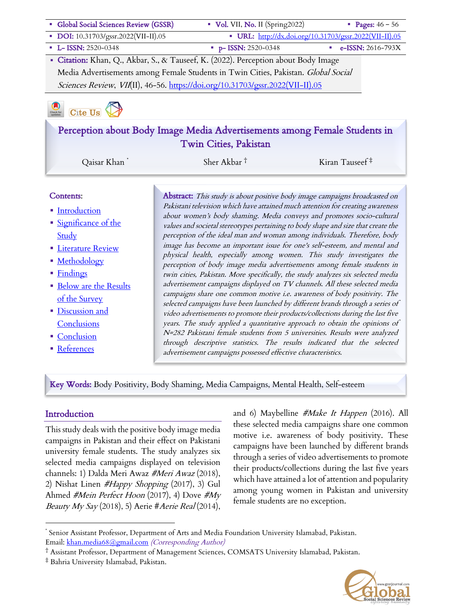| · Global Social Sciences Review (GSSR)                                             | Vol. VII, No. II (Spring2022)                                              | • Pages: $46 - 56$                                     |  |  |  |
|------------------------------------------------------------------------------------|----------------------------------------------------------------------------|--------------------------------------------------------|--|--|--|
| • DOI: 10.31703/gssr.2022(VII-II).05                                               |                                                                            | • URL: http://dx.doi.org/10.31703/gssr.2022(VII-II).05 |  |  |  |
| • L- ISSN: 2520-0348                                                               | $p-$ ISSN: 2520-0348                                                       | e-ISSN: $2616 - 793X$                                  |  |  |  |
| • Citation: Khan, Q., Akbar, S., & Tauseef, K. (2022). Perception about Body Image |                                                                            |                                                        |  |  |  |
| Media Advertisements among Female Students in Twin Cities, Pakistan. Global Social |                                                                            |                                                        |  |  |  |
| Sciences Review, VII(II), 46-56. https://doi.org/10.31703/gssr.2022(VII-II).05     |                                                                            |                                                        |  |  |  |
| Cite Us<br>Check fo                                                                |                                                                            |                                                        |  |  |  |
| Perception about Body Image Media Advertisements among Female Students in          |                                                                            |                                                        |  |  |  |
|                                                                                    | <b>Twin Cities, Pakistan</b>                                               |                                                        |  |  |  |
| Qaisar Khan                                                                        | Sher Akbar $^{\dagger}$                                                    | Kiran Tauseef $\ddagger$                               |  |  |  |
| Contents:                                                                          | Abstract: This study is about positive body image campaigns broadcasted on |                                                        |  |  |  |

- Introduction
- Significance of the Study
- **Eliterature Review**
- § Methodology
- Findings
- **Below are the Results** of the Survey
- § Discussion and Conclusions
- **Conclusion**
- References

Pakistani television which have attained much attention for creating awareness about women's body shaming. Media conveys and promotes socio-cultural values and societal stereotypes pertaining to body shape and size that create the perception of the ideal man and woman among individuals. Therefore, body image has become an important issue for one's self-esteem, and mental and physical health, especially among women. This study investigates the perception of body image media advertisements among female students in twin cities, Pakistan. More specifically, the study analyzes six selected media advertisement campaigns displayed on TV channels. All these selected media campaigns share one common motive i.e. awareness of body positivity. The selected campaigns have been launched by different brands through a series of video advertisements to promote their products/collections during the last five years. The study applied a quantitative approach to obtain the opinions of N=282 Pakistani female students from 5 universities. Results were analyzed through descriptive statistics. The results indicated that the selected advertisement campaigns possessed effective characteristics.

Key Words: Body Positivity, Body Shaming, Media Campaigns, Mental Health, Self-esteem

#### **Introduction**

This study deals with the positive body image media campaigns in Pakistan and their effect on Pakistani university female students. The study analyzes six selected media campaigns displayed on television channels: 1) Dalda Meri Awaz #Meri Awaz (2018), 2) Nishat Linen #Happy Shopping (2017), 3) Gul Ahmed #Mein Perfect Hoon (2017), 4) Dove #My *Beauty My Say* (2018), 5) Aerie #Aerie Real (2014),

and 6) Maybelline #Make It Happen (2016). All these selected media campaigns share one common motive i.e. awareness of body positivity. These campaigns have been launched by different brands through a series of video advertisements to promote their products/collections during the last five years which have attained a lot of attention and popularity among young women in Pakistan and university female students are no exception.



Senior Assistant Professor, Department of Arts and Media Foundation University Islamabad, Pakistan. Email: khan.media68@gmail.com (Corresponding Author)

<sup>†</sup> Assistant Professor, Department of Management Sciences, COMSATS University Islamabad, Pakistan.

<sup>‡</sup> Bahria University Islamabad, Pakistan.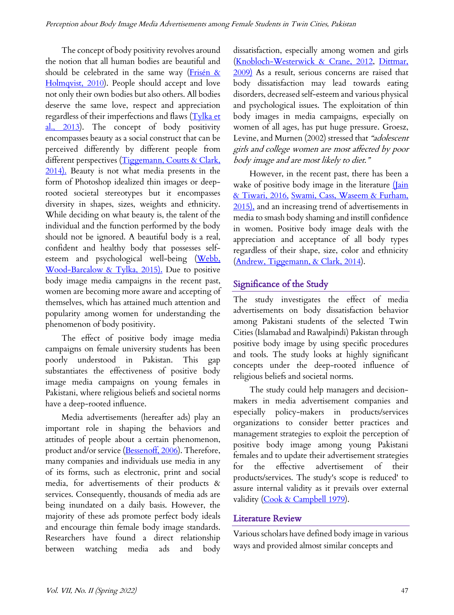The concept of body positivity revolves around the notion that all human bodies are beautiful and should be celebrated in the same way (Frisén & Holmqvist, 2010). People should accept and love not only their own bodies but also others. All bodies deserve the same love, respect and appreciation regardless of their imperfections and flaws (Tylka et al., 2013). The concept of body positivity encompasses beauty as a social construct that can be perceived differently by different people from different perspectives (Tiggemann, Coutts & Clark, 2014). Beauty is not what media presents in the form of Photoshop idealized thin images or deeprooted societal stereotypes but it encompasses diversity in shapes, sizes, weights and ethnicity. While deciding on what beauty is, the talent of the individual and the function performed by the body should not be ignored. A beautiful body is a real, confident and healthy body that possesses selfesteem and psychological well-being (Webb, Wood-Barcalow & Tylka, 2015). Due to positive body image media campaigns in the recent past, women are becoming more aware and accepting of themselves, which has attained much attention and popularity among women for understanding the phenomenon of body positivity.

The effect of positive body image media campaigns on female university students has been poorly understood in Pakistan. This gap substantiates the effectiveness of positive body image media campaigns on young females in Pakistani, where religious beliefs and societal norms have a deep-rooted influence.

Media advertisements (hereafter ads) play an important role in shaping the behaviors and attitudes of people about a certain phenomenon, product and/or service (Bessenoff, 2006). Therefore, many companies and individuals use media in any of its forms, such as electronic, print and social media, for advertisements of their products & services. Consequently, thousands of media ads are being inundated on a daily basis. However, the majority of these ads promote perfect body ideals and encourage thin female body image standards. Researchers have found a direct relationship between watching media ads and body dissatisfaction, especially among women and girls (Knobloch-Westerwick & Crane, 2012, Dittmar, 2009) As a result, serious concerns are raised that body dissatisfaction may lead towards eating disorders, decreased self-esteem and various physical and psychological issues. The exploitation of thin body images in media campaigns, especially on women of all ages, has put huge pressure. Groesz, Levine, and Murnen (2002) stressed that "adolescent girls and college women are most affected by poor body image and are most likely to diet."

However, in the recent past, there has been a wake of positive body image in the literature  $(\underline{\text{Iain}})$ & Tiwari, 2016, Swami, Cass, Waseem & Furham, 2015), and an increasing trend of advertisements in media to smash body shaming and instill confidence in women. Positive body image deals with the appreciation and acceptance of all body types regardless of their shape, size, color and ethnicity (Andrew, Tiggemann, & Clark, 2014).

## Significance of the Study

The study investigates the effect of media advertisements on body dissatisfaction behavior among Pakistani students of the selected Twin Cities (Islamabad and Rawalpindi) Pakistan through positive body image by using specific procedures and tools. The study looks at highly significant concepts under the deep-rooted influence of religious beliefs and societal norms.

The study could help managers and decisionmakers in media advertisement companies and especially policy-makers in products/services organizations to consider better practices and management strategies to exploit the perception of positive body image among young Pakistani females and to update their advertisement strategies for the effective advertisement of their products/services. The study's scope is reduced' to assure internal validity as it prevails over external validity (Cook & Campbell 1979).

## Literature Review

Various scholars have defined body image in various ways and provided almost similar concepts and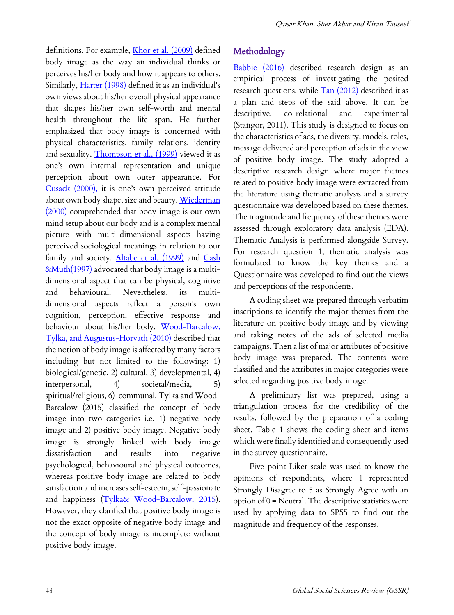definitions. For example, *Khor et al.* (2009) defined body image as the way an individual thinks or perceives his/her body and how it appears to others. Similarly, *Harter* (1998) defined it as an individual's own views about his/her overall physical appearance that shapes his/her own self-worth and mental health throughout the life span. He further emphasized that body image is concerned with physical characteristics, family relations, identity and sexuality. Thompson et al., (1999) viewed it as one's own internal representation and unique perception about own outer appearance. For Cusack (2000), it is one's own perceived attitude about own body shape, size and beauty. Wiederman (2000) comprehended that body image is our own mind setup about our body and is a complex mental picture with multi-dimensional aspects having perceived sociological meanings in relation to our family and society. Altabe et al. (1999) and Cash &Muth(1997) advocated that body image is a multidimensional aspect that can be physical, cognitive and behavioural. Nevertheless, its multidimensional aspects reflect a person's own cognition, perception, effective response and behaviour about his/her body. Wood-Barcalow, Tylka, and Augustus-Horvath (2010) described that the notion of body image is affected by many factors including but not limited to the following: 1) biological/genetic, 2) cultural, 3) developmental, 4) interpersonal, 4) societal/media, 5) spiritual/religious, 6) communal. Tylka and Wood-Barcalow (2015) classified the concept of body image into two categories i.e. 1) negative body image and 2) positive body image. Negative body image is strongly linked with body image dissatisfaction and results into negative psychological, behavioural and physical outcomes, whereas positive body image are related to body satisfaction and increases self-esteem, self-passionate and happiness (Tylka& Wood-Barcalow, 2015). However, they clarified that positive body image is not the exact opposite of negative body image and the concept of body image is incomplete without positive body image.

# Methodology

Babbie (2016) described research design as an empirical process of investigating the posited research questions, while  $\frac{\text{Tan}(2012)}{\text{d}}$  described it as a plan and steps of the said above. It can be descriptive, co-relational and experimental (Stangor, 2011). This study is designed to focus on the characteristics of ads, the diversity, models, roles, message delivered and perception of ads in the view of positive body image. The study adopted a descriptive research design where major themes related to positive body image were extracted from the literature using thematic analysis and a survey questionnaire was developed based on these themes. The magnitude and frequency of these themes were assessed through exploratory data analysis (EDA). Thematic Analysis is performed alongside Survey. For research question 1, thematic analysis was formulated to know the key themes and a Questionnaire was developed to find out the views and perceptions of the respondents.

A coding sheet was prepared through verbatim inscriptions to identify the major themes from the literature on positive body image and by viewing and taking notes of the ads of selected media campaigns. Then a list of major attributes of positive body image was prepared. The contents were classified and the attributes in major categories were selected regarding positive body image.

A preliminary list was prepared, using a triangulation process for the credibility of the results, followed by the preparation of a coding sheet. Table 1 shows the coding sheet and items which were finally identified and consequently used in the survey questionnaire.

Five-point Liker scale was used to know the opinions of respondents, where 1 represented Strongly Disagree to 5 as Strongly Agree with an option of  $0$  = Neutral. The descriptive statistics were used by applying data to SPSS to find out the magnitude and frequency of the responses.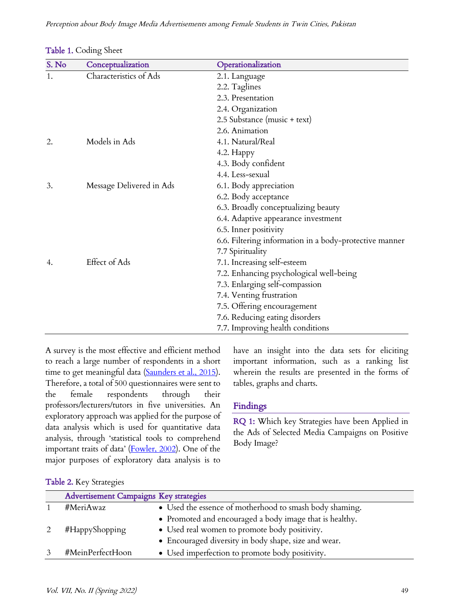| S. No | $\sim$<br>Conceptualization | Operationalization                                     |
|-------|-----------------------------|--------------------------------------------------------|
| 1.    | Characteristics of Ads      |                                                        |
|       |                             | 2.1. Language                                          |
|       |                             | 2.2. Taglines                                          |
|       |                             | 2.3. Presentation                                      |
|       |                             | 2.4. Organization                                      |
|       |                             | 2.5 Substance (music + text)                           |
|       |                             | 2.6. Animation                                         |
| 2.    | Models in Ads               | 4.1. Natural/Real                                      |
|       |                             | 4.2. Happy                                             |
|       |                             | 4.3. Body confident                                    |
|       |                             | 4.4. Less-sexual                                       |
| 3.    | Message Delivered in Ads    | 6.1. Body appreciation                                 |
|       |                             | 6.2. Body acceptance                                   |
|       |                             | 6.3. Broadly conceptualizing beauty                    |
|       |                             | 6.4. Adaptive appearance investment                    |
|       |                             | 6.5. Inner positivity                                  |
|       |                             | 6.6. Filtering information in a body-protective manner |
|       |                             | 7.7 Spirituality                                       |
| 4.    | Effect of Ads               | 7.1. Increasing self-esteem                            |
|       |                             | 7.2. Enhancing psychological well-being                |
|       |                             | 7.3. Enlarging self-compassion                         |
|       |                             | 7.4. Venting frustration                               |
|       |                             | 7.5. Offering encouragement                            |
|       |                             | 7.6. Reducing eating disorders                         |
|       |                             | 7.7. Improving health conditions                       |

|  | Table 1. Coding Sheet |  |
|--|-----------------------|--|
|--|-----------------------|--|

A survey is the most effective and efficient method to reach a large number of respondents in a short time to get meaningful data (Saunders et al., 2015). Therefore, a total of 500 questionnaires were sent to the female respondents through their professors/lecturers/tutors in five universities. An exploratory approach was applied for the purpose of data analysis which is used for quantitative data analysis, through 'statistical tools to comprehend important traits of data' (Fowler, 2002). One of the major purposes of exploratory data analysis is to

have an insight into the data sets for eliciting important information, such as a ranking list wherein the results are presented in the forms of tables, graphs and charts.

### Findings

RQ 1: Which key Strategies have been Applied in the Ads of Selected Media Campaigns on Positive Body Image?

|  |  |  | Table 2. Key Strategies |
|--|--|--|-------------------------|
|--|--|--|-------------------------|

| <b>Advertisement Campaigns Key strategies</b> |                                                         |
|-----------------------------------------------|---------------------------------------------------------|
| #MeriAwaz                                     | • Used the essence of motherhood to smash body shaming. |
|                                               | • Promoted and encouraged a body image that is healthy. |
| #HappyShopping                                | • Used real women to promote body positivity.           |
|                                               | • Encouraged diversity in body shape, size and wear.    |
| #MeinPerfectHoon                              | • Used imperfection to promote body positivity.         |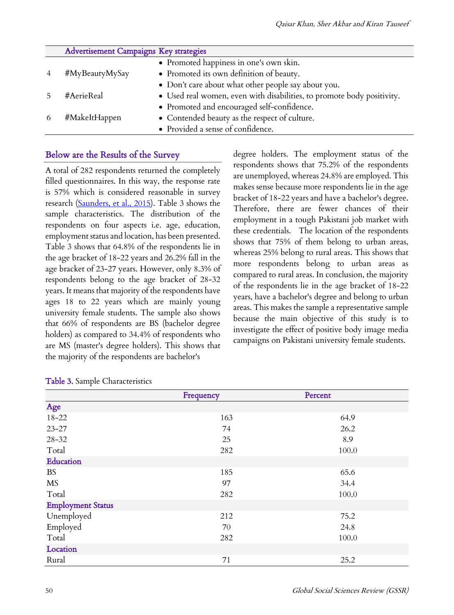| Advertisement Campaigns Key strategies |                                                                        |
|----------------------------------------|------------------------------------------------------------------------|
|                                        | • Promoted happiness in one's own skin.                                |
| #MyBeautyMySay                         | • Promoted its own definition of beauty.                               |
|                                        | • Don't care about what other people say about you.                    |
| #AerieReal                             | • Used real women, even with disabilities, to promote body positivity. |
|                                        | • Promoted and encouraged self-confidence.                             |
| #MakeItHappen                          | • Contended beauty as the respect of culture.                          |
|                                        | • Provided a sense of confidence.                                      |

### Below are the Results of the Survey

A total of 282 respondents returned the completely filled questionnaires. In this way, the response rate is 57% which is considered reasonable in survey research (Saunders, et al., 2015). Table 3 shows the sample characteristics. The distribution of the respondents on four aspects i.e. age, education, employment status and location, has been presented. Table 3 shows that 64.8% of the respondents lie in the age bracket of 18-22 years and 26.2% fall in the age bracket of 23-27 years. However, only 8.3% of respondents belong to the age bracket of 28-32 years. It means that majority of the respondents have ages 18 to 22 years which are mainly young university female students. The sample also shows that 66% of respondents are BS (bachelor degree holders) as compared to 34.4% of respondents who are MS (master's degree holders). This shows that the majority of the respondents are bachelor's

degree holders. The employment status of the respondents shows that 75.2% of the respondents are unemployed, whereas 24.8% are employed. This makes sense because more respondents lie in the age bracket of 18-22 years and have a bachelor's degree. Therefore, there are fewer chances of their employment in a tough Pakistani job market with these credentials. The location of the respondents shows that 75% of them belong to urban areas, whereas 25% belong to rural areas. This shows that more respondents belong to urban areas as compared to rural areas. In conclusion, the majority of the respondents lie in the age bracket of 18-22 years, have a bachelor's degree and belong to urban areas. This makes the sample a representative sample because the main objective of this study is to investigate the effect of positive body image media campaigns on Pakistani university female students.

|                          | Frequency | Percent |
|--------------------------|-----------|---------|
| Age                      |           |         |
| $18 - 22$                | 163       | 64.9    |
| $23 - 27$                | 74        | 26.2    |
| $28 - 32$                | 25        | 8.9     |
| Total                    | 282       | 100.0   |
| Education                |           |         |
| <b>BS</b>                | 185       | 65.6    |
| <b>MS</b>                | 97        | 34.4    |
| Total                    | 282       | 100.0   |
| <b>Employment Status</b> |           |         |
| Unemployed               | 212       | 75.2    |
| Employed                 | 70        | 24.8    |
| Total                    | 282       | 100.0   |
| Location                 |           |         |
| Rural                    | 71        | 25.2    |

#### Table 3. Sample Characteristics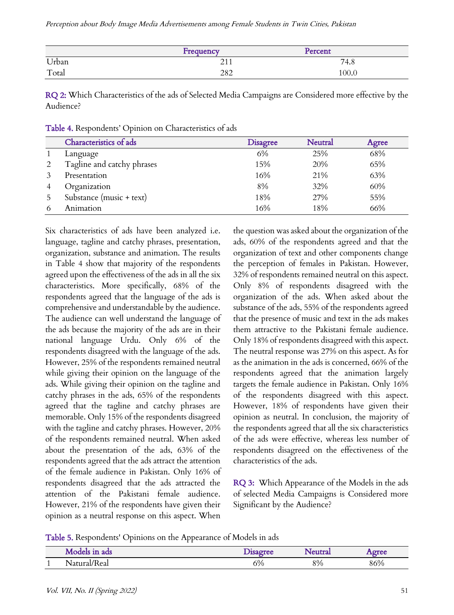Perception about Body Image Media Advertisements among Female Students in Twin Cities, Pakistan

|       | Frequency          | Percent |
|-------|--------------------|---------|
| Urban | $^{\sim}$<br>$-11$ | 74.8    |
| Total | 282                | 100.0   |

RQ 2: Which Characteristics of the ads of Selected Media Campaigns are Considered more effective by the Audience?

|   | Characteristics of ads     | <b>Disagree</b> | <b>Neutral</b> | Agree |
|---|----------------------------|-----------------|----------------|-------|
|   | Language                   | 6%              | 25%            | 68%   |
| 2 | Tagline and catchy phrases | 15%             | 20%            | 65%   |
| 3 | Presentation               | 16%             | 21%            | 63%   |
| 4 | Organization               | 8%              | 32%            | 60%   |
| 5 | Substance (music + text)   | 18%             | 27%            | 55%   |
| 6 | Animation                  | 16%             | 18%            | 66%   |

Table 4. Respondents' Opinion on Characteristics of ads

Six characteristics of ads have been analyzed i.e. language, tagline and catchy phrases, presentation, organization, substance and animation. The results in Table 4 show that majority of the respondents agreed upon the effectiveness of the ads in all the six characteristics. More specifically, 68% of the respondents agreed that the language of the ads is comprehensive and understandable by the audience. The audience can well understand the language of the ads because the majority of the ads are in their national language Urdu. Only 6% of the respondents disagreed with the language of the ads. However, 25% of the respondents remained neutral while giving their opinion on the language of the ads. While giving their opinion on the tagline and catchy phrases in the ads, 65% of the respondents agreed that the tagline and catchy phrases are memorable. Only 15% of the respondents disagreed with the tagline and catchy phrases. However, 20% of the respondents remained neutral. When asked about the presentation of the ads, 63% of the respondents agreed that the ads attract the attention of the female audience in Pakistan. Only 16% of respondents disagreed that the ads attracted the attention of the Pakistani female audience. However, 21% of the respondents have given their opinion as a neutral response on this aspect. When

the question was asked about the organization of the ads, 60% of the respondents agreed and that the organization of text and other components change the perception of females in Pakistan. However, 32% of respondents remained neutral on this aspect. Only 8% of respondents disagreed with the organization of the ads. When asked about the substance of the ads, 55% of the respondents agreed that the presence of music and text in the ads makes them attractive to the Pakistani female audience. Only 18% of respondents disagreed with this aspect. The neutral response was 27% on this aspect. As for as the animation in the ads is concerned, 66% of the respondents agreed that the animation largely targets the female audience in Pakistan. Only 16% of the respondents disagreed with this aspect. However, 18% of respondents have given their opinion as neutral. In conclusion, the majority of the respondents agreed that all the six characteristics of the ads were effective, whereas less number of respondents disagreed on the effectiveness of the characteristics of the ads.

RQ 3: Which Appearance of the Models in the ads of selected Media Campaigns is Considered more Significant by the Audience?

Table 5. Respondents' Opinions on the Appearance of Models in ads

|          | Models in ads | <b>Isagree</b> | Neutrai | oree |
|----------|---------------|----------------|---------|------|
| <b>.</b> | Natural/Real  | 6%             | 8%      | 86%  |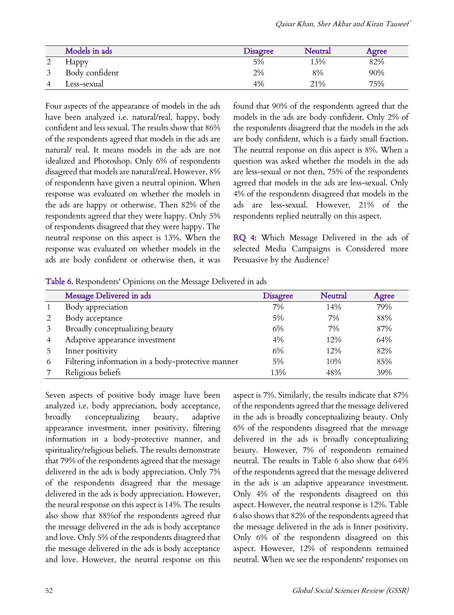| Models in ads  | <b>Disagree</b> | Neutral | Agree |
|----------------|-----------------|---------|-------|
| <b>Happy</b>   | 5%              | 13%     | 82%   |
| Body confident | 2%              | 8%      | 90%   |
| Less-sexual    | 4%              | 21%     | 75%   |

Four aspects of the appearance of models in the ads have been analyzed i.e. natural/real, happy, body confident and less sexual. The results show that 86% of the respondents agreed that models in the ads are natural/ real. It means models in the ads are not idealized and Photoshop. Only 6% of respondents disagreed that models are natural/real. However, 8% of respondents have given a neutral opinion. When response was evaluated on whether the models in the ads are happy or otherwise. Then 82% of the respondents agreed that they were happy. Only 5% of respondents disagreed that they were happy. The neutral response on this aspect is 13%. When the response was evaluated on whether models in the ads are body confident or otherwise then, it was

found that 90% of the respondents agreed that the models in the ads are body confident. Only 2% of the respondents disagreed that the models in the ads are body confident, which is a fairly small fraction. The neutral response on this aspect is 8%. When a question was asked whether the models in the ads are less-sexual or not then, 75% of the respondents agreed that models in the ads are less-sexual. Only 4% of the respondents disagreed that models in the ads are less-sexual. However, 21% of the respondents replied neutrally on this aspect.

RQ 4: Which Message Delivered in the ads of selected Media Campaigns is Considered more Persuasive by the Audience?

Table 6. Respondents' Opinions on the Message Delivered in ads

|   | Message Delivered in ads                          | <b>Disagree</b> | <b>Neutral</b> | Agree |
|---|---------------------------------------------------|-----------------|----------------|-------|
|   | Body appreciation                                 | 7%              | 14%            | 79%   |
|   | Body acceptance                                   | 5%              | 7%             | 88%   |
|   | Broadly conceptualizing beauty                    | 6%              | 7%             | 87%   |
|   | Adaptive appearance investment                    | 4%              | 12%            | 64%   |
|   | Inner positivity                                  | 6%              | 12%            | 82%   |
| 6 | Filtering information in a body-protective manner | 5%              | 10%            | 85%   |
|   | Religious beliefs                                 | 13%             | 48%            | 39%   |

Seven aspects of positive body image have been analyzed i.e. body appreciation, body acceptance, broadly conceptualizing beauty, adaptive appearance investment, inner positivity, filtering information in a body-protective manner, and spirituality/religious beliefs. The results demonstrate that 79% of the respondents agreed that the message delivered in the ads is body appreciation. Only 7% of the respondents disagreed that the message delivered in the ads is body appreciation. However, the neural response on this aspect is 14%. The results also show that 88%of the respondents agreed that the message delivered in the ads is body acceptance and love. Only 5% of the respondents disagreed that the message delivered in the ads is body acceptance and love. However, the neutral response on this

aspect is 7%. Similarly, the results indicate that 87% of the respondents agreed that the message delivered in the ads is broadly conceptualizing beauty. Only 6% of the respondents disagreed that the message delivered in the ads is broadly conceptualizing beauty. However, 7% of respondents remained neutral. The results in Table 6 also show that 64% of the respondents agreed that the message delivered in the ads is an adaptive appearance investment. Only 4% of the respondents disagreed on this aspect. However, the neutral response is 12%. Table 6 also shows that 82% of the respondents agreed that the message delivered in the ads is Inner positivity. Only 6% of the respondents disagreed on this aspect. However, 12% of respondents remained neutral. When we see the respondents' responses on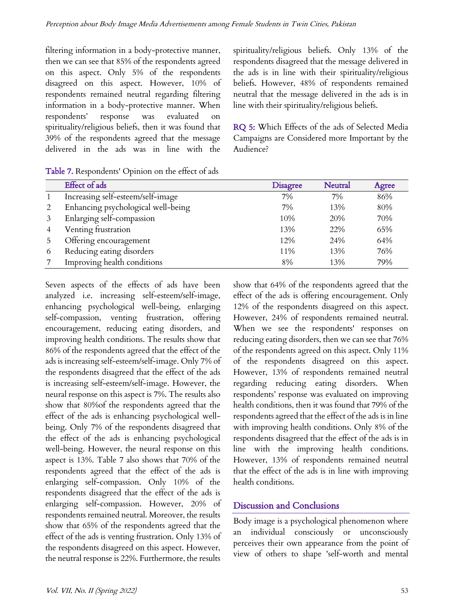filtering information in a body-protective manner, then we can see that 85% of the respondents agreed on this aspect. Only 5% of the respondents disagreed on this aspect. However, 10% of respondents remained neutral regarding filtering information in a body-protective manner. When respondents' response was evaluated on spirituality/religious beliefs, then it was found that 39% of the respondents agreed that the message delivered in the ads was in line with the spirituality/religious beliefs. Only 13% of the respondents disagreed that the message delivered in the ads is in line with their spirituality/religious beliefs. However, 48% of respondents remained neutral that the message delivered in the ads is in line with their spirituality/religious beliefs.

RQ 5: Which Effects of the ads of Selected Media Campaigns are Considered more Important by the Audience?

| Table 7. Respondents' Opinion on the effect of ads |  |
|----------------------------------------------------|--|
|----------------------------------------------------|--|

|   | Effect of ads                      | <b>Disagree</b> | <b>Neutral</b> | Agree |
|---|------------------------------------|-----------------|----------------|-------|
|   | Increasing self-esteem/self-image  | 7%              | 7%             | 86%   |
| 2 | Enhancing psychological well-being | 7%              | 13%            | 80%   |
|   | Enlarging self-compassion          | 10%             | 20%            | 70%   |
| 4 | Venting frustration                | 13%             | 22%            | 65%   |
| 5 | Offering encouragement             | 12%             | 24%            | 64%   |
| 6 | Reducing eating disorders          | 11%             | 13%            | 76%   |
|   | Improving health conditions        | 8%              | 13%            | 79%   |

Seven aspects of the effects of ads have been analyzed i.e. increasing self-esteem/self-image, enhancing psychological well-being, enlarging self-compassion, venting frustration, offering encouragement, reducing eating disorders, and improving health conditions. The results show that 86% of the respondents agreed that the effect of the ads is increasing self-esteem/self-image. Only 7% of the respondents disagreed that the effect of the ads is increasing self-esteem/self-image. However, the neural response on this aspect is 7%. The results also show that 80%of the respondents agreed that the effect of the ads is enhancing psychological wellbeing. Only 7% of the respondents disagreed that the effect of the ads is enhancing psychological well-being. However, the neural response on this aspect is 13%. Table 7 also shows that 70% of the respondents agreed that the effect of the ads is enlarging self-compassion. Only 10% of the respondents disagreed that the effect of the ads is enlarging self-compassion. However, 20% of respondents remained neutral. Moreover, the results show that 65% of the respondents agreed that the effect of the ads is venting frustration. Only 13% of the respondents disagreed on this aspect. However, the neutral response is 22%. Furthermore, the results show that 64% of the respondents agreed that the effect of the ads is offering encouragement. Only 12% of the respondents disagreed on this aspect. However, 24% of respondents remained neutral. When we see the respondents' responses on reducing eating disorders, then we can see that 76% of the respondents agreed on this aspect. Only 11% of the respondents disagreed on this aspect. However, 13% of respondents remained neutral regarding reducing eating disorders. When respondents' response was evaluated on improving health conditions, then it was found that 79% of the respondents agreed that the effect of the ads is in line with improving health conditions. Only 8% of the respondents disagreed that the effect of the ads is in line with the improving health conditions. However, 13% of respondents remained neutral that the effect of the ads is in line with improving health conditions.

## Discussion and Conclusions

Body image is a psychological phenomenon where an individual consciously or unconsciously perceives their own appearance from the point of view of others to shape 'self-worth and mental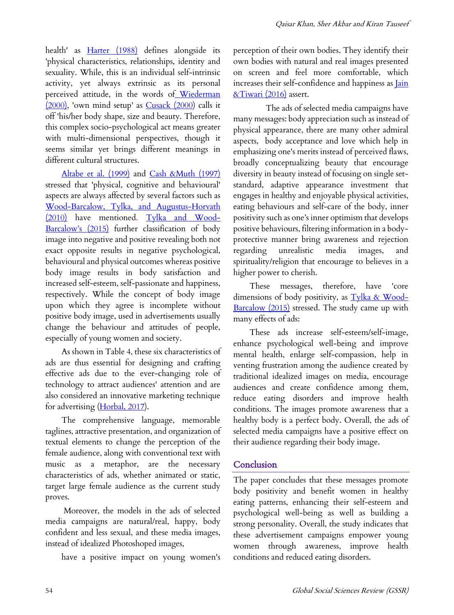health' as **Harter** (1988) defines alongside its 'physical characteristics, relationships, identity and sexuality. While, this is an individual self-intrinsic activity, yet always extrinsic as its personal perceived attitude, in the words of Wiederman (2000), 'own mind setup' as Cusack (2000) calls it off 'his/her body shape, size and beauty. Therefore, this complex socio-psychological act means greater with multi-dimensional perspectives, though it seems similar yet brings different meanings in different cultural structures.

Altabe et al. (1999) and Cash &Muth (1997) stressed that 'physical, cognitive and behavioural' aspects are always affected by several factors such as Wood-Barcalow, Tylka, and Augustus-Horvath (2010) have mentioned. Tylka and Wood-Barcalow's (2015) further classification of body image into negative and positive revealing both not exact opposite results in negative psychological, behavioural and physical outcomes whereas positive body image results in body satisfaction and increased self-esteem, self-passionate and happiness, respectively. While the concept of body image upon which they agree is incomplete without positive body image, used in advertisements usually change the behaviour and attitudes of people, especially of young women and society.

As shown in Table 4, these six characteristics of ads are thus essential for designing and crafting effective ads due to the ever-changing role of technology to attract audiences' attention and are also considered an innovative marketing technique for advertising (Horbal, 2017).

The comprehensive language, memorable taglines, attractive presentation, and organization of textual elements to change the perception of the female audience, along with conventional text with music as a metaphor, are the necessary characteristics of ads, whether animated or static, target large female audience as the current study proves.

Moreover, the models in the ads of selected media campaigns are natural/real, happy, body confident and less sexual, and these media images, instead of idealized Photoshoped images,

have a positive impact on young women's

perception of their own bodies. They identify their own bodies with natural and real images presented on screen and feel more comfortable, which increases their self-confidence and happiness as **Jain** &Tiwari (2016) assert.

The ads of selected media campaigns have many messages: body appreciation such as instead of physical appearance, there are many other admiral aspects, body acceptance and love which help in emphasizing one's merits instead of perceived flaws, broadly conceptualizing beauty that encourage diversity in beauty instead of focusing on single setstandard, adaptive appearance investment that engages in healthy and enjoyable physical activities, eating behaviours and self-care of the body, inner positivity such as one's inner optimism that develops positive behaviours, filtering information in a bodyprotective manner bring awareness and rejection regarding unrealistic media images, and spirituality/religion that encourage to believes in a higher power to cherish.

These messages, therefore, have 'core dimensions of body positivity, as Tylka & Wood-Barcalow (2015) stressed. The study came up with many effects of ads:

These ads increase self-esteem/self-image, enhance psychological well-being and improve mental health, enlarge self-compassion, help in venting frustration among the audience created by traditional idealized images on media, encourage audiences and create confidence among them, reduce eating disorders and improve health conditions. The images promote awareness that a healthy body is a perfect body. Overall, the ads of selected media campaigns have a positive effect on their audience regarding their body image.

## **Conclusion**

The paper concludes that these messages promote body positivity and benefit women in healthy eating patterns, enhancing their self-esteem and psychological well-being as well as building a strong personality. Overall, the study indicates that these advertisement campaigns empower young women through awareness, improve health conditions and reduced eating disorders.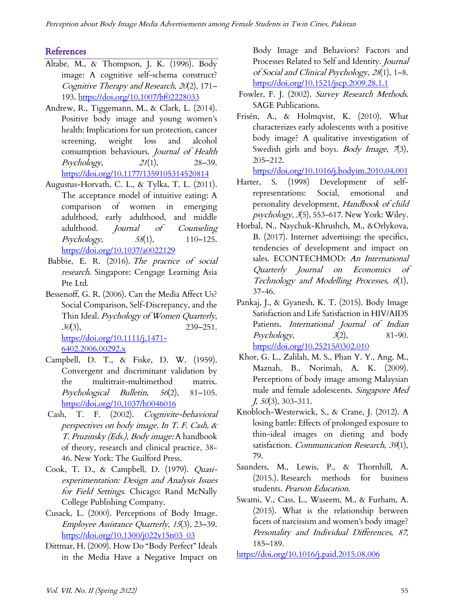# **References**

- Altabe, M., & Thompson, J. K. (1996). Body image: A cognitive self-schema construct? Cognitive Therapy and Research, 20(2), 171– 193. https://doi.org/10.1007/bf02228033
- Andrew, R., Tiggemann, M., & Clark, L. (2014). Positive body image and young women's health: Implications for sun protection, cancer screening, weight loss and alcohol consumption behaviours. Journal of Health  $Psychology, 21(1), 28-39.$ https://doi.org/10.1177/1359105314520814
- Augustus-Horvath, C. L., & Tylka, T. L. (2011). The acceptance model of intuitive eating: A comparison of women in emerging adulthood, early adulthood, and middle adulthood. Journal of Counseling Psychology,  $58(1)$ ,  $110-125$ . https://doi.org/10.1037/a0022129
- Babbie, E. R. (2016). The practice of social research. Singapore: Cengage Learning Asia Pte Ltd.
- Bessenoff, G. R. (2006). Can the Media Affect Us? Social Comparison, Self-Discrepancy, and the Thin Ideal. Psychology of Women Quarterly,  $30(3)$ , 239–251. https://doi.org/10.1111/j.1471- 6402.2006.00292.x
- Campbell, D. T., & Fiske, D. W. (1959). Convergent and discriminant validation by the multitrait-multimethod matrix. Psychological Bulletin, 56(2), 81–105. https://doi.org/10.1037/h0046016
- Cash, T. F. (2002). Cognivite-behavioral perspectives on body image. In T. F. Cash, & T. Pruzinsky (Eds.), Body image: A handbook of theory, research and clinical practice, 38- 46. New York: The Guilford Press.
- Cook, T. D., & Campbell, D. (1979). Quasiexperimentation: Design and Analysis Issues for Field Settings. Chicago: Rand McNally College Publishing Company.
- Cusack, L. (2000). Perceptions of Body Image. Employee Assistance Quarterly, 15(3), 23–39. https://doi.org/10.1300/j022v15n03\_03
- Dittmar, H. (2009). How Do "Body Perfect" Ideals in the Media Have a Negative Impact on

Body Image and Behaviors? Factors and Processes Related to Self and Identity. Journal of Social and Clinical Psychology, 28(1), 1–8. https://doi.org/10.1521/jscp.2009.28.1.1

- Fowler, F. J. (2002). Survey Research Methods. SAGE Publications.
- Frisén, A., & Holmqvist, K. (2010). What characterizes early adolescents with a positive body image? A qualitative investigation of Swedish girls and boys. Body Image, 7(3), 205–212.

https://doi.org/10.1016/j.bodyim.2010.04.001

- Harter, S. (1998) Development of selfrepresentations: Social, emotional and personality development, Handbook of child psychology, 3(5), 553-617. New York: Wiley.
- Horbal, N., Naychuk-Khrushch, M., &Orlykova, B. (2017). Internet advertising: the specifics, tendencies of development and impact on sales. ECONTECHMOD: An International Quarterly Journal on Economics of Technology and Modelling Processes, 6(1), 37-46.
- Pankaj, J., & Gyanesh, K. T. (2015). Body Image Satisfaction and Life Satisfaction in HIV/AIDS Patients. International Journal of Indian  $Psychology,$   $3(2),$   $81-90.$ https://doi.org/10.25215/0302.010
- Khor, G. L., Zalilah, M. S., Phan Y. Y., Ang. M., Maznah, B., Norimah, A. K. (2009). Perceptions of body image among Malaysian male and female adolescents. Singapore Med  $J, 50(3), 303-311.$
- Knobloch-Westerwick, S., & Crane, J. (2012). A losing battle: Effects of prolonged exposure to thin-ideal images on dieting and body satisfaction. Communication Research, 39(1), 79.
- Saunders, M., Lewis, P., & Thornhill, A. (2015.). Research methods for business students. Pearson Education.
- Swami, V., Cass, L., Waseem, M., & Furham, A. (2015). What is the relationship between facets of narcissism and women's body image? Personality and Individual Differences, 87, 185–189.

https://doi.org/10.1016/j.paid.2015.08.006